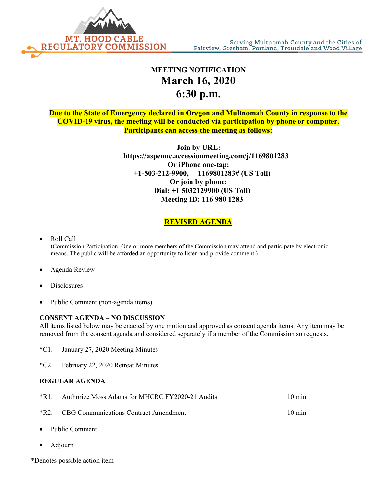

## **MEETING NOTIFICATION March 16, 2020 6:30 p.m.**

**Due to the State of Emergency declared in Oregon and Multnomah County in response to the COVID-19 virus, the meeting will be conducted via participation by phone or computer. Participants can access the meeting as follows:**

> **Join by URL: https://aspenuc.accessionmeeting.com/j/1169801283 Or iPhone one-tap: +1-503-212-9900, 1169801283# (US Toll) Or join by phone: Dial: +1 5032129900 (US Toll) Meeting ID: 116 980 1283**

## **REVISED AGENDA**

- Roll Call (Commission Participation: One or more members of the Commission may attend and participate by electronic means. The public will be afforded an opportunity to listen and provide comment.)
- Agenda Review
- **Disclosures**
- Public Comment (non-agenda items)

## **CONSENT AGENDA – NO DISCUSSION**

All items listed below may be enacted by one motion and approved as consent agenda items. Any item may be removed from the consent agenda and considered separately if a member of the Commission so requests.

- \*C1. January 27, 2020 Meeting Minutes
- \*C2. February 22, 2020 Retreat Minutes

## **REGULAR AGENDA**

| *R1. Authorize Moss Adams for MHCRC FY2020-21 Audits | $10 \text{ min}$ |
|------------------------------------------------------|------------------|
| <i>*R2.</i> CBG Communications Contract Amendment    | $10 \text{ min}$ |

- Public Comment
- Adjourn
- \*Denotes possible action item